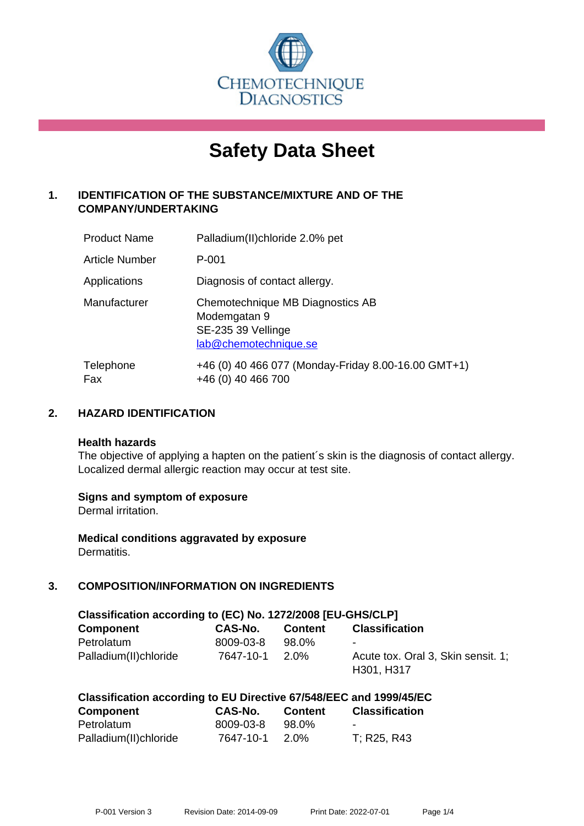

# **Safety Data Sheet**

# **1. IDENTIFICATION OF THE SUBSTANCE/MIXTURE AND OF THE COMPANY/UNDERTAKING**

| <b>Product Name</b> | Palladium(II)chloride 2.0% pet                                                                  |
|---------------------|-------------------------------------------------------------------------------------------------|
| Article Number      | P-001                                                                                           |
| Applications        | Diagnosis of contact allergy.                                                                   |
| Manufacturer        | Chemotechnique MB Diagnostics AB<br>Modemgatan 9<br>SE-235 39 Vellinge<br>lab@chemotechnique.se |
| Telephone<br>Fax    | +46 (0) 40 466 077 (Monday-Friday 8.00-16.00 GMT+1)<br>+46 (0) 40 466 700                       |

## **2. HAZARD IDENTIFICATION**

#### **Health hazards**

The objective of applying a hapten on the patient's skin is the diagnosis of contact allergy. Localized dermal allergic reaction may occur at test site.

## **Signs and symptom of exposure**

Dermal irritation.

**Medical conditions aggravated by exposure** Dermatitis.

# **3. COMPOSITION/INFORMATION ON INGREDIENTS**

| Classification according to (EC) No. 1272/2008 [EU-GHS/CLP] |           |                |                                                  |  |
|-------------------------------------------------------------|-----------|----------------|--------------------------------------------------|--|
| Component                                                   | CAS-No.   | <b>Content</b> | <b>Classification</b>                            |  |
| Petrolatum                                                  | 8009-03-8 | 98.0%          | $\overline{\phantom{0}}$                         |  |
| Palladium(II)chloride                                       | 7647-10-1 | 2.0%           | Acute tox. Oral 3, Skin sensit. 1:<br>H301, H317 |  |

| <b>Component</b>      | CAS-No.   | <b>Content</b> | <b>Classification</b> |
|-----------------------|-----------|----------------|-----------------------|
| Petrolatum            | 8009-03-8 | 98.0%          | $\sim$                |
| Palladium(II)chloride | 7647-10-1 | 2.0%           | T; R25, R43           |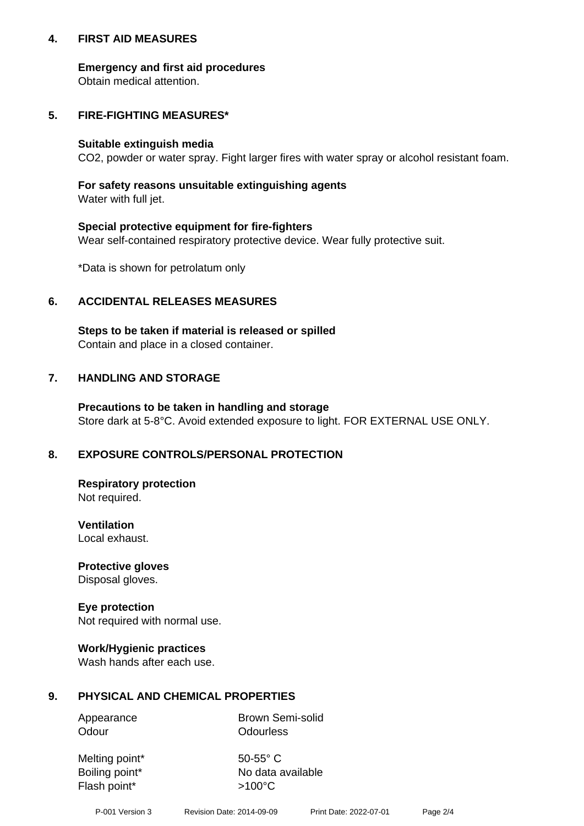## **4. FIRST AID MEASURES**

## **Emergency and first aid procedures**

Obtain medical attention.

# **5. FIRE-FIGHTING MEASURES\***

#### **Suitable extinguish media**

CO2, powder or water spray. Fight larger fires with water spray or alcohol resistant foam.

# **For safety reasons unsuitable extinguishing agents**

Water with full jet.

## **Special protective equipment for fire-fighters**

Wear self-contained respiratory protective device. Wear fully protective suit.

\*Data is shown for petrolatum only

## **6. ACCIDENTAL RELEASES MEASURES**

**Steps to be taken if material is released or spilled** Contain and place in a closed container.

# **7. HANDLING AND STORAGE**

**Precautions to be taken in handling and storage** Store dark at 5-8°C. Avoid extended exposure to light. FOR EXTERNAL USE ONLY.

# **8. EXPOSURE CONTROLS/PERSONAL PROTECTION**

**Respiratory protection** Not required.

**Ventilation** Local exhaust.

**Protective gloves** Disposal gloves.

#### **Eye protection** Not required with normal use.

## **Work/Hygienic practices**

Wash hands after each use.

## **9. PHYSICAL AND CHEMICAL PROPERTIES**

Odour **Odourless** 

Appearance Brown Semi-solid

Melting point\* 50-55° C Flash point\*  $>100^{\circ}$ C

Boiling point\* No data available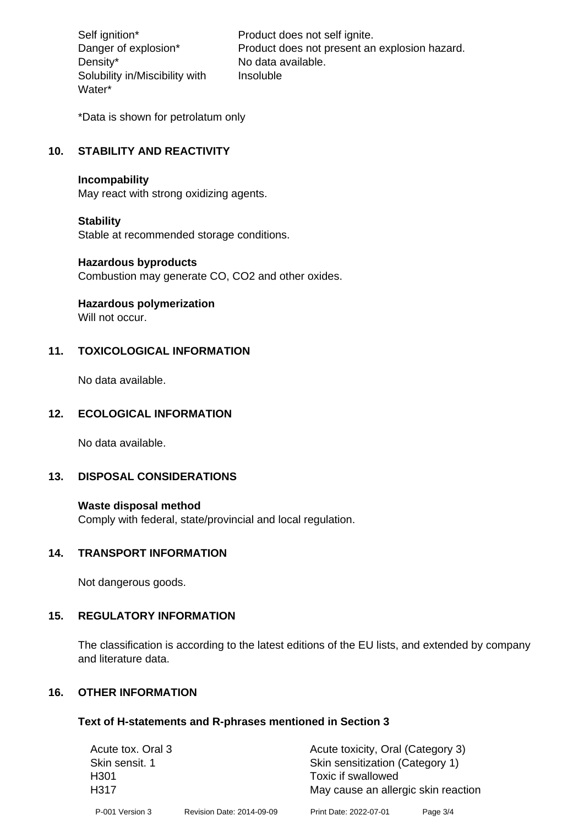Density\* No data available. Solubility in/Miscibility with Water\*

Self ignition\* Product does not self ignite. Danger of explosion\* Product does not present an explosion hazard. Insoluble

\*Data is shown for petrolatum only

# **10. STABILITY AND REACTIVITY**

#### **Incompability**

May react with strong oxidizing agents.

#### **Stability**

Stable at recommended storage conditions.

#### **Hazardous byproducts**

Combustion may generate CO, CO2 and other oxides.

**Hazardous polymerization**

Will not occur.

## **11. TOXICOLOGICAL INFORMATION**

No data available.

#### **12. ECOLOGICAL INFORMATION**

No data available.

## **13. DISPOSAL CONSIDERATIONS**

#### **Waste disposal method**

Comply with federal, state/provincial and local regulation.

#### **14. TRANSPORT INFORMATION**

Not dangerous goods.

## **15. REGULATORY INFORMATION**

The classification is according to the latest editions of the EU lists, and extended by company and literature data.

#### **16. OTHER INFORMATION**

#### **Text of H-statements and R-phrases mentioned in Section 3**

| Acute tox. Oral 3 |                           | Acute toxicity, Oral (Category 3)   |          |  |
|-------------------|---------------------------|-------------------------------------|----------|--|
| Skin sensit. 1    |                           | Skin sensitization (Category 1)     |          |  |
| H <sub>301</sub>  |                           | Toxic if swallowed                  |          |  |
| H317              |                           | May cause an allergic skin reaction |          |  |
| P-001 Version 3   | Revision Date: 2014-09-09 | Print Date: 2022-07-01              | Page 3/4 |  |